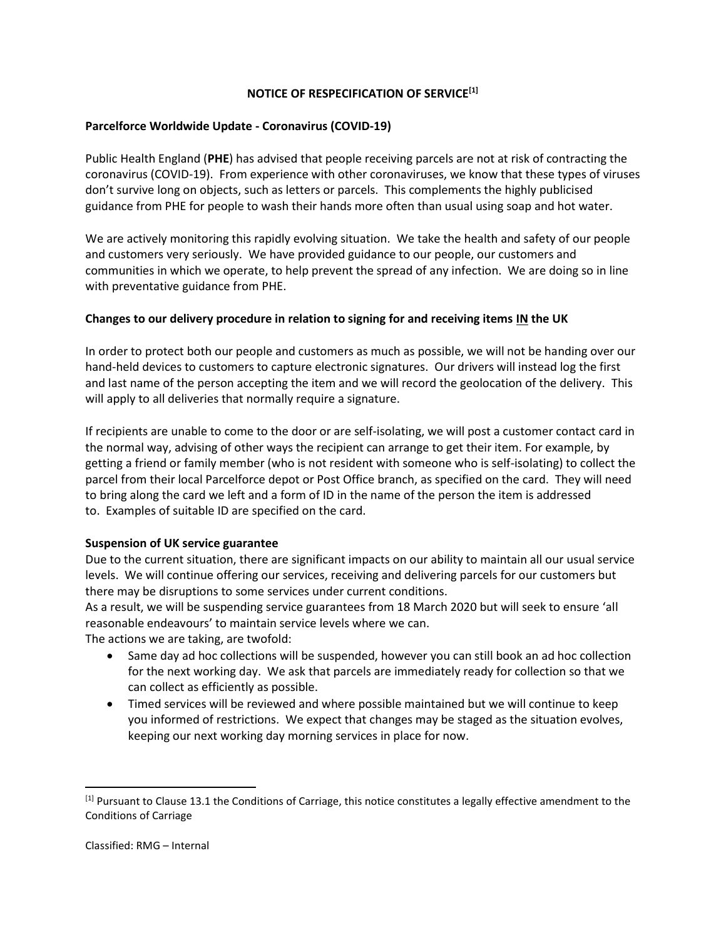# **NOTICE OF RESPECIFICATION OF SERVICE[1]**

## **Parcelforce Worldwide Update - Coronavirus (COVID-19)**

Public Health England (**PHE**) has advised that people receiving parcels are not at risk of contracting the coronavirus (COVID-19). From experience with other coronaviruses, we know that these types of viruses don't survive long on objects, such as letters or parcels. This complements the highly publicised guidance from PHE for people to wash their hands more often than usual using soap and hot water.

We are actively monitoring this rapidly evolving situation. We take the health and safety of our people and customers very seriously. We have provided guidance to our people, our customers and communities in which we operate, to help prevent the spread of any infection. We are doing so in line with preventative guidance from PHE.

# **Changes to our delivery procedure in relation to signing for and receiving items IN the UK**

In order to protect both our people and customers as much as possible, we will not be handing over our hand-held devices to customers to capture electronic signatures. Our drivers will instead log the first and last name of the person accepting the item and we will record the geolocation of the delivery. This will apply to all deliveries that normally require a signature.

If recipients are unable to come to the door or are self-isolating, we will post a customer contact card in the normal way, advising of other ways the recipient can arrange to get their item. For example, by getting a friend or family member (who is not resident with someone who is self-isolating) to collect the parcel from their local Parcelforce depot or Post Office branch, as specified on the card. They will need to bring along the card we left and a form of ID in the name of the person the item is addressed to. Examples of suitable ID are specified on the card.

### **Suspension of UK service guarantee**

Due to the current situation, there are significant impacts on our ability to maintain all our usual service levels. We will continue offering our services, receiving and delivering parcels for our customers but there may be disruptions to some services under current conditions.

As a result, we will be suspending service guarantees from 18 March 2020 but will seek to ensure 'all reasonable endeavours' to maintain service levels where we can.

The actions we are taking, are twofold:

- Same day ad hoc collections will be suspended, however you can still book an ad hoc collection for the next working day. We ask that parcels are immediately ready for collection so that we can collect as efficiently as possible.
- Timed services will be reviewed and where possible maintained but we will continue to keep you informed of restrictions. We expect that changes may be staged as the situation evolves, keeping our next working day morning services in place for now.

<sup>[1]</sup> Pursuant to Clause 13.1 the Conditions of Carriage, this notice constitutes a legally effective amendment to the Conditions of Carriage